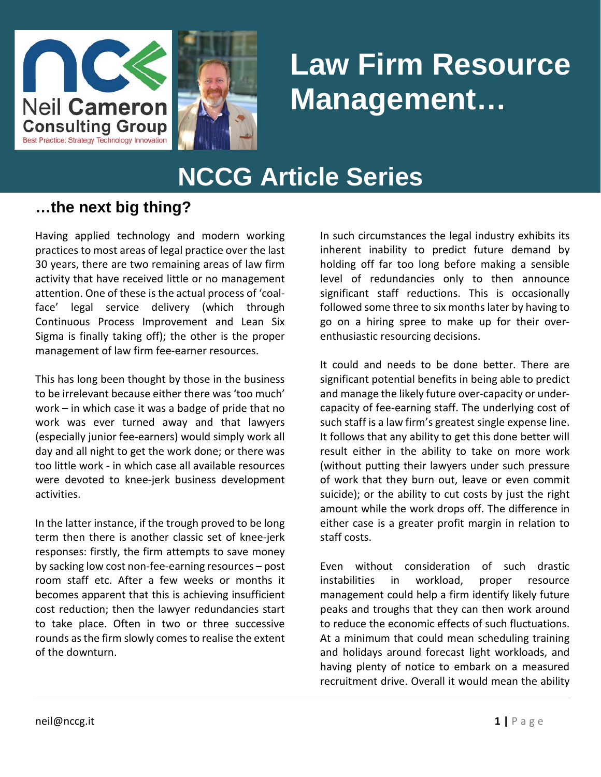



# **Law Firm Resource Management…**

## **NCCG Article Series**

#### **…the next big thing?**

Having applied technology and modern working practices to most areas of legal practice over the last 30 years, there are two remaining areas of law firm activity that have received little or no management attention. One of these is the actual process of 'coalface' legal service delivery (which through Continuous Process Improvement and Lean Six Sigma is finally taking off); the other is the proper management of law firm fee-earner resources.

This has long been thought by those in the business to be irrelevant because either there was 'too much' work – in which case it was a badge of pride that no work was ever turned away and that lawyers (especially junior fee-earners) would simply work all day and all night to get the work done; or there was too little work - in which case all available resources were devoted to knee-jerk business development activities.

In the latter instance, if the trough proved to be long term then there is another classic set of knee-jerk responses: firstly, the firm attempts to save money by sacking low cost non-fee-earning resources – post room staff etc. After a few weeks or months it becomes apparent that this is achieving insufficient cost reduction; then the lawyer redundancies start to take place. Often in two or three successive rounds as the firm slowly comes to realise the extent of the downturn.

In such circumstances the legal industry exhibits its inherent inability to predict future demand by holding off far too long before making a sensible level of redundancies only to then announce significant staff reductions. This is occasionally followed some three to six months later by having to go on a hiring spree to make up for their overenthusiastic resourcing decisions.

It could and needs to be done better. There are significant potential benefits in being able to predict and manage the likely future over-capacity or undercapacity of fee-earning staff. The underlying cost of such staff is a law firm's greatest single expense line. It follows that any ability to get this done better will result either in the ability to take on more work (without putting their lawyers under such pressure of work that they burn out, leave or even commit suicide); or the ability to cut costs by just the right amount while the work drops off. The difference in either case is a greater profit margin in relation to staff costs.

Even without consideration of such drastic instabilities in workload, proper resource management could help a firm identify likely future peaks and troughs that they can then work around to reduce the economic effects of such fluctuations. At a minimum that could mean scheduling training and holidays around forecast light workloads, and having plenty of notice to embark on a measured recruitment drive. Overall it would mean the ability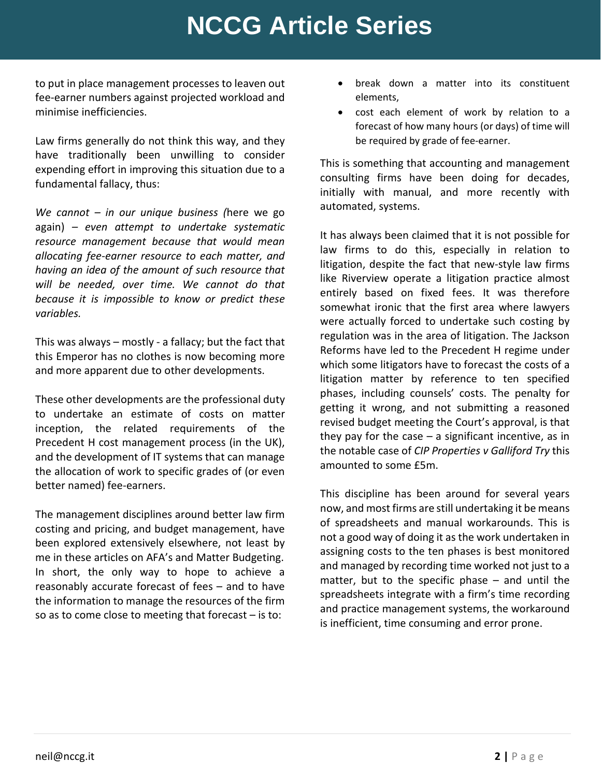### **NCCG Article Series**

to put in place management processes to leaven out fee-earner numbers against projected workload and minimise inefficiencies.

Law firms generally do not think this way, and they have traditionally been unwilling to consider expending effort in improving this situation due to a fundamental fallacy, thus:

*We cannot – in our unique business (*here we go again) *– even attempt to undertake systematic resource management because that would mean allocating fee-earner resource to each matter, and having an idea of the amount of such resource that will be needed, over time. We cannot do that because it is impossible to know or predict these variables.*

This was always – mostly - a fallacy; but the fact that this Emperor has no clothes is now becoming more and more apparent due to other developments.

These other developments are the professional duty to undertake an estimate of costs on matter inception, the related requirements of the Precedent H cost management process (in the UK), and the development of IT systems that can manage the allocation of work to specific grades of (or even better named) fee-earners.

The management disciplines around better law firm costing and pricing, and budget management, have been explored extensively elsewhere, not least by me in these articles on AFA's and Matter Budgeting. In short, the only way to hope to achieve a reasonably accurate forecast of fees – and to have the information to manage the resources of the firm so as to come close to meeting that forecast – is to:

- break down a matter into its constituent elements,
- cost each element of work by relation to a forecast of how many hours (or days) of time will be required by grade of fee-earner.

This is something that accounting and management consulting firms have been doing for decades, initially with manual, and more recently with automated, systems.

It has always been claimed that it is not possible for law firms to do this, especially in relation to litigation, despite the fact that new-style law firms like Riverview operate a litigation practice almost entirely based on fixed fees. It was therefore somewhat ironic that the first area where lawyers were actually forced to undertake such costing by regulation was in the area of litigation. The Jackson Reforms have led to the Precedent H regime under which some litigators have to forecast the costs of a litigation matter by reference to ten specified phases, including counsels' costs. The penalty for getting it wrong, and not submitting a reasoned revised budget meeting the Court's approval, is that they pay for the case  $-$  a significant incentive, as in the notable case of *CIP Properties v Galliford Try* this amounted to some £5m.

This discipline has been around for several years now, and most firms are still undertaking it be means of spreadsheets and manual workarounds. This is not a good way of doing it as the work undertaken in assigning costs to the ten phases is best monitored and managed by recording time worked not just to a matter, but to the specific phase – and until the spreadsheets integrate with a firm's time recording and practice management systems, the workaround is inefficient, time consuming and error prone.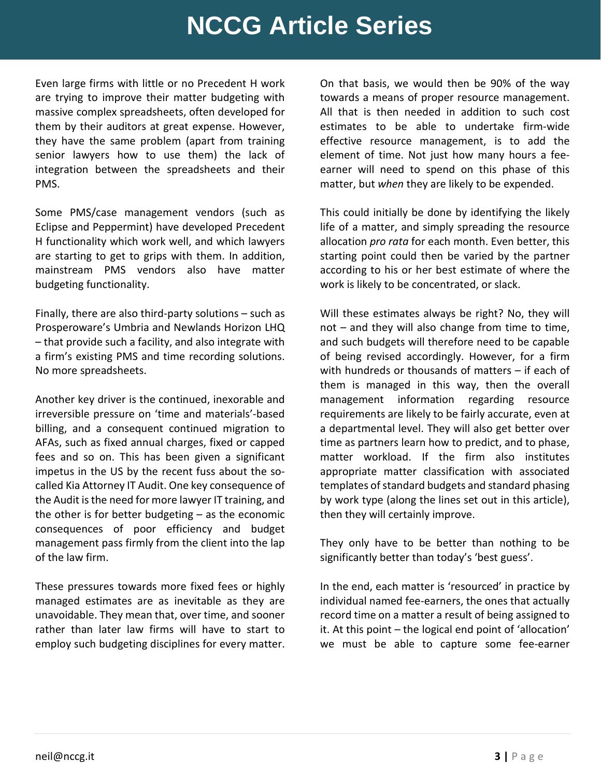#### **NCCG Article Series**

Even large firms with little or no Precedent H work are trying to improve their matter budgeting with massive complex spreadsheets, often developed for them by their auditors at great expense. However, they have the same problem (apart from training senior lawyers how to use them) the lack of integration between the spreadsheets and their PMS.

Some PMS/case management vendors (such as Eclipse and Peppermint) have developed Precedent H functionality which work well, and which lawyers are starting to get to grips with them. In addition, mainstream PMS vendors also have matter budgeting functionality.

Finally, there are also third-party solutions – such as Prosperoware's Umbria and Newlands Horizon LHQ – that provide such a facility, and also integrate with a firm's existing PMS and time recording solutions. No more spreadsheets.

Another key driver is the continued, inexorable and irreversible pressure on 'time and materials'-based billing, and a consequent continued migration to AFAs, such as fixed annual charges, fixed or capped fees and so on. This has been given a significant impetus in the US by the recent fuss about the socalled Kia Attorney IT Audit. One key consequence of the Audit is the need for more lawyer IT training, and the other is for better budgeting – as the economic consequences of poor efficiency and budget management pass firmly from the client into the lap of the law firm.

These pressures towards more fixed fees or highly managed estimates are as inevitable as they are unavoidable. They mean that, over time, and sooner rather than later law firms will have to start to employ such budgeting disciplines for every matter.

On that basis, we would then be 90% of the way towards a means of proper resource management. All that is then needed in addition to such cost estimates to be able to undertake firm-wide effective resource management, is to add the element of time. Not just how many hours a feeearner will need to spend on this phase of this matter, but *when* they are likely to be expended.

This could initially be done by identifying the likely life of a matter, and simply spreading the resource allocation *pro rata* for each month. Even better, this starting point could then be varied by the partner according to his or her best estimate of where the work is likely to be concentrated, or slack.

Will these estimates always be right? No, they will not – and they will also change from time to time, and such budgets will therefore need to be capable of being revised accordingly. However, for a firm with hundreds or thousands of matters – if each of them is managed in this way, then the overall management information regarding resource requirements are likely to be fairly accurate, even at a departmental level. They will also get better over time as partners learn how to predict, and to phase, matter workload. If the firm also institutes appropriate matter classification with associated templates of standard budgets and standard phasing by work type (along the lines set out in this article), then they will certainly improve.

They only have to be better than nothing to be significantly better than today's 'best guess'.

In the end, each matter is 'resourced' in practice by individual named fee-earners, the ones that actually record time on a matter a result of being assigned to it. At this point – the logical end point of 'allocation' we must be able to capture some fee-earner